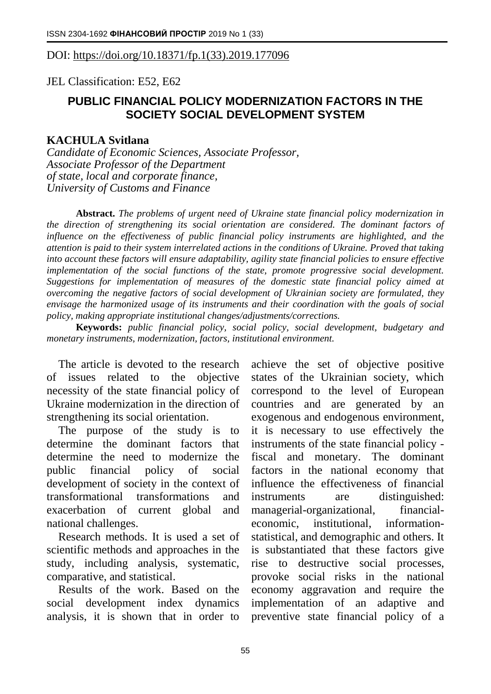## DOI: [https://doi.org/10.18371/fp.1\(33\).2019.177096](https://doi.org/10.18371/fp.1(33).2019.177096)

JEL Classіfіcatіon: E52, E62

## **PUBLIC FINANCIAL POLICY MODERNIZATION FACTORS IN THE SOCIETY SOCIAL DEVELOPMENT SYSTEM**

## **KACHULA Svitlana**

*Candidate of Economic Sciences, Associate Professor, Associate Professor of the Department of state, local and corporate finance, University of Customs and Finance*

**Abstract.** *The problems of urgent need of Ukraine state financial policy modernization in the direction of strengthening its social orientation are considered. The dominant factors of influence on the effectiveness of public financial policy instruments are highlighted, and the attention is paid to their system interrelated actions in the conditions of Ukraine. Proved that taking into account these factors will ensure adaptability, agility state financial policies to ensure effective implementation of the social functions of the state, promote progressive social development. Suggestions for implementation of measures of the domestic state financial policy aimed at overcoming the negative factors of social development of Ukrainian society are formulated, they envisage the harmonized usage of its instruments and their coordination with the goals of social policy, making appropriate institutional changes/adjustments/corrections.*

**Keywords:** *public financial policy, social policy, social development, budgetary and monetary instruments, modernization, factors, institutional environment.*

The article is devoted to the research of issues related to the objective necessity of the state financial policy of Ukraine modernization in the direction of strengthening its social orientation.

The purpose of the study is to determine the dominant factors that determine the need to modernize the public financial policy of social development of society in the context of transformational transformations and exacerbation of current global and national challenges.

Research methods. It is used a set of scientific methods and approaches in the study, including analysis, systematic, comparative, and statistical.

Results of the work. Based on the social development index dynamics analysis, it is shown that in order to

achieve the set of objective positive states of the Ukrainian society, which correspond to the level of European countries and are generated by an exogenous and endogenous environment, it is necessary to use effectively the instruments of the state financial policy fiscal and monetary. The dominant factors in the national economy that influence the effectiveness of financial instruments are distinguished: managerial-organizational, financialeconomic, institutional, informationstatistical, and demographic and others. It is substantiated that these factors give rise to destructive social processes, provoke social risks in the national economy aggravation and require the implementation of an adaptive and preventive state financial policy of a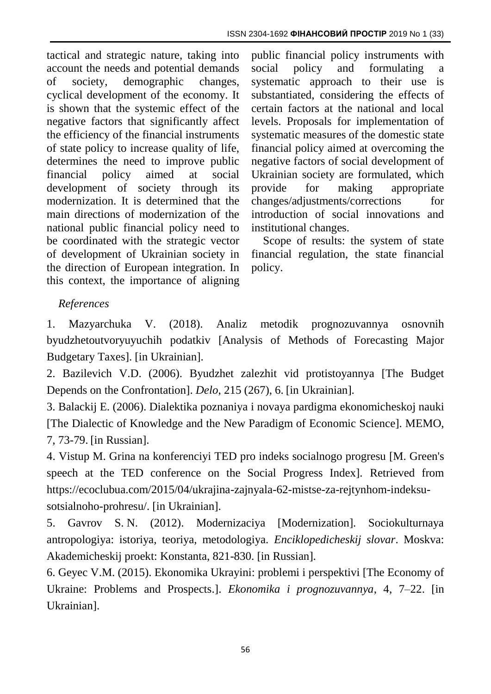tactical and strategic nature, taking into account the needs and potential demands of society, demographic changes, cyclical development of the economy. It is shown that the systemic effect of the negative factors that significantly affect the efficiency of the financial instruments of state policy to increase quality of life, determines the need to improve public financial policy aimed at social development of society through its modernization. It is determined that the main directions of modernization of the national public financial policy need to be coordinated with the strategic vector of development of Ukrainian society in the direction of European integration. In this context, the importance of aligning

public financial policy instruments with social policy and formulating a systematic approach to their use is substantiated, considering the effects of certain factors at the national and local levels. Proposals for implementation of systematic measures of the domestic state financial policy aimed at overcoming the negative factors of social development of Ukrainian society are formulated, which provide for making appropriate changes/adjustments/corrections for introduction of social innovations and institutional changes.

Scope of results: the system of state financial regulation, the state financial policy.

## *References*

1. Mazyarchuka V. (2018). Analiz metodik prognozuvannya osnovnih byudzhetoutvoryuyuchih podatkiv [Analysis of Methods of Forecasting Major Budgetary Taxes]. [in Ukrainian].

2. Bazilevich V.D. (2006). Byudzhet zalezhit vid protistoyannya [The Budget Depends on the Confrontation]. *Delo*, 215 (267), 6. [in Ukrainian].

3. Balackij E. (2006). Dialektika poznaniya i novaya pardigma ekonomicheskoj nauki [The Dialectic of Knowledge and the New Paradigm of Economic Science]. MEMO, 7, 73-79. [in Russian].

4. Vistup M. Grina na konferenciyi TED pro indeks socialnogo progresu [M. Green's speech at the TED conference on the Social Progress Index]. Retrieved from [https://ecoclubua.com/2015/04/ukrajina-zajnyala-62-mistse-za-rejtynhom-indeksu](https://ecoclubua.com/2015/04/ukrajina-zajnyala-62-mistse-za-rejtynhom-indeksu-sotsialnoho-prohresu/)[sotsialnoho-prohresu/.](https://ecoclubua.com/2015/04/ukrajina-zajnyala-62-mistse-za-rejtynhom-indeksu-sotsialnoho-prohresu/) [in Ukrainian].

5. Gavrov S. N. (2012). Modernizaciya [Modernization]. Sociokulturnaya antropologiya: istoriya, teoriya, metodologiya. *Enciklopedicheskij slovar*. Moskva: Akademicheskij proekt: Konstanta, 821-830. [in Russian].

6. Geyec V.M. (2015). Ekonomika Ukrayini: problemi i perspektivi [The Economy of Ukraine: Problems and Prospects.]. *Ekonomika i prognozuvannya*, 4, 7–22. [in Ukrainian].